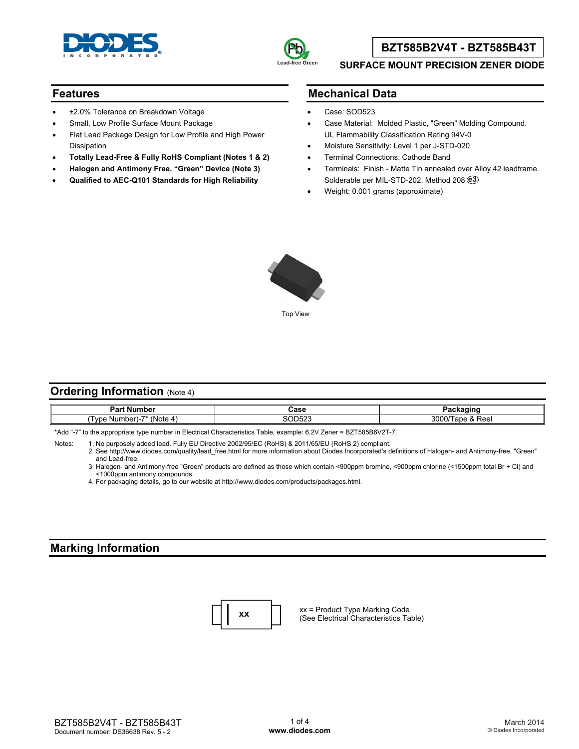



## **BZT585B2V4T - BZT585B43T**

#### **SURFACE MOUNT PRECISION ZENER DIODE**

### **Features**

- ±2.0% Tolerance on Breakdown Voltage
- Small, Low Profile Surface Mount Package
- Flat Lead Package Design for Low Profile and High Power Dissipation
- **Totally Lead-Free & Fully RoHS Compliant (Notes 1 & 2)**
- **Halogen and Antimony Free. "Green" Device (Note 3)**
- **Qualified to AEC-Q101 Standards for High Reliability**

### **Mechanical Data**

- Case: SOD523
- Case Material: Molded Plastic, "Green" Molding Compound. UL Flammability Classification Rating 94V-0
- Moisture Sensitivity: Level 1 per J-STD-020
- Terminal Connections: Cathode Band
- Terminals: Finish Matte Tin annealed over Alloy 42 leadframe. Solderable per MIL-STD-202, Method 208 **e3**
- Weight: 0.001 grams (approximate)



### **Ordering Information** (Note 4)

| . Numher<br>ロヘド<br>°ar<br>יטעו           | `^^^<br>uast             |                                             |
|------------------------------------------|--------------------------|---------------------------------------------|
| 'Note<br>nher<br>1/nc<br>Nur<br>$\cdots$ | . <u>. .</u> .<br>ᆩ<br>. | ,,,,<br>$\sim$<br>Reel<br>70C<br>. aur<br>ີ |

\*Add "-7" to the appropriate type number in Electrical Characteristics Table, example: 6.2V Zener = BZT585B6V2T-7.

Notes: 1. No purposely added lead. Fully EU Directive 2002/95/EC (RoHS) & 2011/65/EU (RoHS 2) compliant.

 2. See [http://www.diodes.com/quality/lead\\_free.html fo](http://www.diodes.com/quality/lead_free.html)r more information about Diodes Incorporated's definitions of Halogen- and Antimony-free, "Green" and Lead-free.

 3. Halogen- and Antimony-free "Green" products are defined as those which contain <900ppm bromine, <900ppm chlorine (<1500ppm total Br + Cl) and <1000ppm antimony compounds.

4. For packaging details, go to our website at [http://www.diodes.com/products/packages.html.](http://www.diodes.com/products/packages.html) 

### **Marking Information**



xx = Product Type Marking Code **xx**  $\begin{bmatrix} \times x = \text{Product Type Marking Code} \\ \text{See Electrical Characteristics Table} \end{bmatrix}$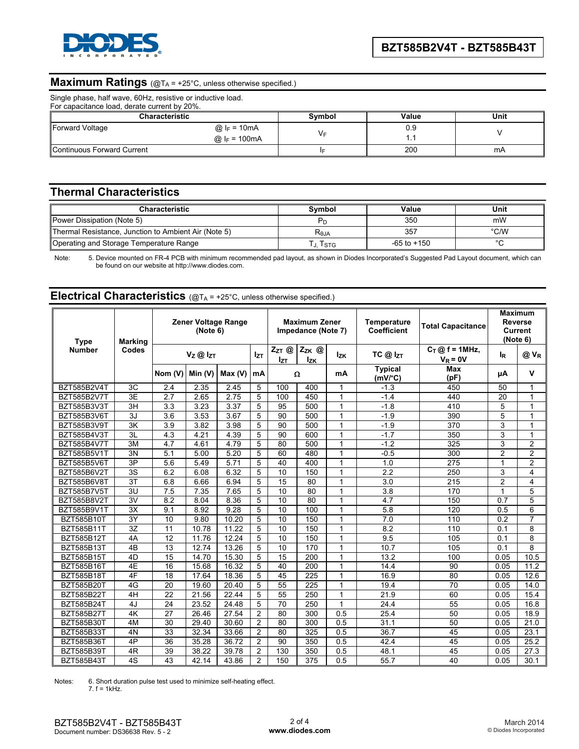

# **Maximum Ratings** (@TA = +25°C, unless otherwise specified.)

Single phase, half wave, 60Hz, resistive or inductive load.

| For capacitance load, derate current by 20%. |                                           |        |       |      |  |  |
|----------------------------------------------|-------------------------------------------|--------|-------|------|--|--|
| <b>Characteristic</b>                        |                                           | Symbol | Value | Unit |  |  |
| Forward Voltage                              | @ $I_F = 10mA$<br>@ $ _F = 100 \text{mA}$ |        | 0.9   |      |  |  |
| Continuous Forward Current                   |                                           |        | 200   | mA   |  |  |

## **Thermal Characteristics**

| <b>Characteristic</b>                                | Svmbol     | Value           | Unit |
|------------------------------------------------------|------------|-----------------|------|
| Power Dissipation (Note 5)                           |            | 350             | mW   |
| Thermal Resistance, Junction to Ambient Air (Note 5) | $R_{0,IA}$ | 357             | °C/W |
| Operating and Storage Temperature Range              | J. I STG   | $-65$ to $+150$ |      |

Note: 5. Device mounted on FR-4 PCB with minimum recommended pad layout, as shown in Diodes Incorporated's Suggested Pad Layout document, which can be found on our website at [http://www.diodes.com.](http://www.diodes.com)

| Electrical Characteristics (@TA = +25°C, unless otherwise specified.) |  |  |
|-----------------------------------------------------------------------|--|--|
|-----------------------------------------------------------------------|--|--|

| Zener Voltage Range<br>(Note 6)<br><b>Type</b><br><b>Marking</b> |                 |                  | <b>Maximum Zener</b><br>Impedance (Note 7) |        |                 | <b>Temperature</b><br><b>Coefficient</b> | <b>Total Capacitance</b> |                | <b>Maximum</b><br>Reverse<br><b>Current</b><br>(Note 6) |                                  |                  |                  |
|------------------------------------------------------------------|-----------------|------------------|--------------------------------------------|--------|-----------------|------------------------------------------|--------------------------|----------------|---------------------------------------------------------|----------------------------------|------------------|------------------|
| <b>Number</b>                                                    | Codes           |                  | $V_Z \otimes I_{ZT}$                       |        | I <sub>ZT</sub> | $Z_{ZT}$ @<br>Izt                        | $Z_{ZK}$ @<br><b>Izk</b> | <b>Izk</b>     | $TC$ @ $I_{ZT}$                                         | $C_T @ f = 1$ MHz,<br>$V_R = 0V$ | l <sub>R</sub>   | @ V <sub>R</sub> |
|                                                                  |                 | Nom (V)          | Min $(V)$                                  | Max(V) | mA              |                                          | Ω                        | mA             | <b>Typical</b><br>$(mV)^{\circ}C$                       | <b>Max</b><br>(pF)               | μA               | $\mathbf v$      |
| BZT585B2V4T                                                      | 3C              | 2.4              | 2.35                                       | 2.45   | 5               | 100                                      | 400                      | $\mathbf{1}$   | $-1.3$                                                  | 450                              | 50               | 1                |
| <b>BZT585B2V7T</b>                                               | $\overline{3E}$ | $\overline{2.7}$ | 2.65                                       | 2.75   | 5               | 100                                      | 450                      | $\overline{1}$ | $-1.4$                                                  | 440                              | 20               | 1                |
| BZT585B3V3T                                                      | 3H              | 3.3              | 3.23                                       | 3.37   | 5               | 95                                       | 500                      | $\overline{1}$ | $-1.8$                                                  | 410                              | 5                | 1                |
| BZT585B3V6T                                                      | 3J              | $\overline{3.6}$ | 3.53                                       | 3.67   | 5               | $\overline{90}$                          | 500                      | $\overline{1}$ | $-1.9$                                                  | 390                              | 5                | 1                |
| BZT585B3V9T                                                      | 3K              | 3.9              | 3.82                                       | 3.98   | 5               | 90                                       | 500                      | $\overline{1}$ | $-1.9$                                                  | 370                              | 3                | 1                |
| BZT585B4V3T                                                      | 3L              | 4.3              | 4.21                                       | 4.39   | 5               | 90                                       | 600                      | 1              | $-1.7$                                                  | 350                              | 3                | 1                |
| BZT585B4V7T                                                      | 3M              | 4.7              | 4.61                                       | 4.79   | 5               | 80                                       | 500                      | $\mathbf{1}$   | $-1.2$                                                  | 325                              | 3                | 2                |
| BZT585B5V1T                                                      | 3N              | 5.1              | 5.00                                       | 5.20   | 5               | 60                                       | 480                      | 1              | $-0.5$                                                  | 300                              | 2                | 2                |
| BZT585B5V6T                                                      | 3P              | 5.6              | 5.49                                       | 5.71   | 5               | 40                                       | 400                      | $\mathbf{1}$   | 1.0                                                     | 275                              | 1                | $\overline{2}$   |
| BZT585B6V2T                                                      | 3S              | 6.2              | 6.08                                       | 6.32   | 5               | 10                                       | 150                      | $\mathbf{1}$   | 2.2                                                     | 250                              | 3                | 4                |
| BZT585B6V8T                                                      | 3T              | 6.8              | 6.66                                       | 6.94   | 5               | 15                                       | 80                       | $\mathbf 1$    | 3.0                                                     | 215                              | $\overline{c}$   | 4                |
| <b>BZT585B7V5T</b>                                               | 3U              | 7.5              | 7.35                                       | 7.65   | 5               | 10                                       | 80                       | $\mathbf{1}$   | 3.8                                                     | 170                              | 1                | 5                |
| BZT585B8V2T                                                      | $\overline{3V}$ | 8.2              | 8.04                                       | 8.36   | 5               | 10                                       | 80                       | $\mathbf 1$    | 4.7                                                     | 150                              | $0.\overline{7}$ | 5                |
| BZT585B9V1T                                                      | 3X              | 9.1              | 8.92                                       | 9.28   | 5               | 10                                       | 100                      | 1              | 5.8                                                     | 120                              | 0.5              | 6                |
| BZT585B10T                                                       | 3Y              | 10               | 9.80                                       | 10.20  | 5               | 10                                       | 150                      | $\mathbf 1$    | 7.0                                                     | 110                              | 0.2              | $\overline{7}$   |
| BZT585B11T                                                       | 3Z              | 11               | 10.78                                      | 11.22  | 5               | 10                                       | 150                      | $\mathbf{1}$   | 8.2                                                     | 110                              | 0.1              | 8                |
| BZT585B12T                                                       | 4A              | $\overline{12}$  | 11.76                                      | 12.24  | 5               | 10                                       | 150                      | $\mathbf{1}$   | 9.5                                                     | 105                              | 0.1              | 8                |
| BZT585B13T                                                       | 4B              | 13               | 12.74                                      | 13.26  | 5               | 10                                       | 170                      | $\overline{1}$ | 10.7                                                    | 105                              | 0.1              | 8                |
| BZT585B15T                                                       | 4D              | 15               | 14.70                                      | 15.30  | 5               | 15                                       | 200                      | $\mathbf{1}$   | 13.2                                                    | 100                              | 0.05             | 10.5             |
| <b>BZT585B16T</b>                                                | 4E              | 16               | 15.68                                      | 16.32  | 5               | 40                                       | 200                      | $\overline{1}$ | 14.4                                                    | 90                               | 0.05             | 11.2             |
| <b>BZT585B18T</b>                                                | 4F              | 18               | 17.64                                      | 18.36  | 5               | 45                                       | 225                      | $\overline{1}$ | 16.9                                                    | 80                               | 0.05             | 12.6             |
| BZT585B20T                                                       | 4G              | 20               | 19.60                                      | 20.40  | 5               | 55                                       | 225                      | $\mathbf{1}$   | 19.4                                                    | 70                               | 0.05             | 14.0             |
| BZT585B22T                                                       | 4H              | $\overline{22}$  | 21.56                                      | 22.44  | 5               | 55                                       | 250                      | $\mathbf{1}$   | 21.9                                                    | 60                               | 0.05             | 15.4             |
| BZT585B24T                                                       | 4J              | 24               | 23.52                                      | 24.48  | 5               | 70                                       | 250                      | $\mathbf{1}$   | 24.4                                                    | 55                               | 0.05             | 16.8             |
| BZT585B27T                                                       | 4K              | 27               | 26.46                                      | 27.54  | $\overline{2}$  | 80                                       | 300                      | 0.5            | 25.4                                                    | 50                               | 0.05             | 18.9             |
| <b>BZT585B30T</b>                                                | 4M              | 30               | 29.40                                      | 30.60  | $\overline{2}$  | 80                                       | 300                      | 0.5            | 31.1                                                    | 50                               | 0.05             | 21.0             |
| <b>BZT585B33T</b>                                                | 4N              | 33               | 32.34                                      | 33.66  | $\overline{2}$  | 80                                       | 325                      | 0.5            | 36.7                                                    | 45                               | 0.05             | 23.1             |
| <b>BZT585B36T</b>                                                | 4P              | 36               | 35.28                                      | 36.72  | $\overline{2}$  | 90                                       | 350                      | 0.5            | 42.4                                                    | 45                               | 0.05             | 25.2             |
| <b>BZT585B39T</b>                                                | 4R              | 39               | 38.22                                      | 39.78  | $\overline{2}$  | 130                                      | 350                      | 0.5            | 48.1                                                    | 45                               | 0.05             | 27.3             |
| BZT585B43T                                                       | 4S              | 43               | 42.14                                      | 43.86  | $\overline{c}$  | 150                                      | 375                      | 0.5            | 55.7                                                    | 40                               | 0.05             | 30.1             |

Notes: 6. Short duration pulse test used to minimize self-heating effect.  $7. f = 1kHz$ .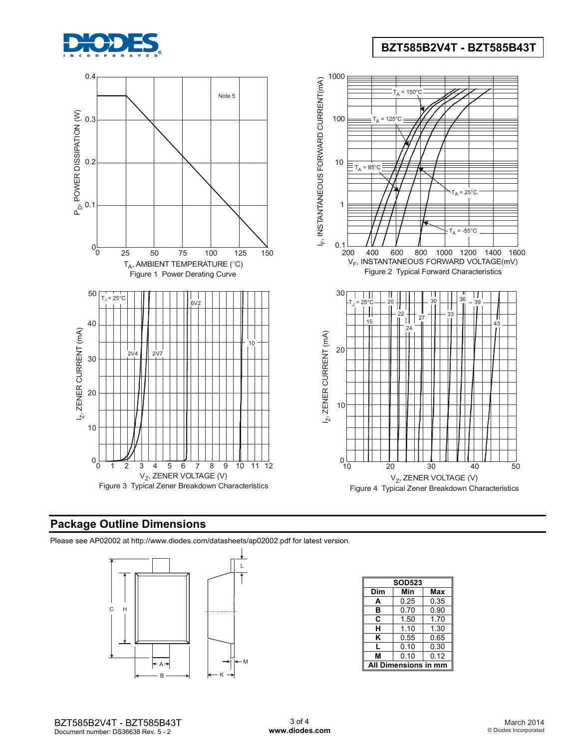

# **BZT585B2V4T - BZT585B43T**



# **Package Outline Dimensions**

Please see AP02002 at [http://www.diodes.com/datasheets/ap02002.pdf fo](http://www.diodes.com/datasheets/ap02002.pdf)r latest version.



|     | <b>SOD523</b>    |      |  |  |  |  |
|-----|------------------|------|--|--|--|--|
| Dim | Min<br>Max       |      |  |  |  |  |
| A   | 0.25             | 0.35 |  |  |  |  |
| в   | 0.70             | 0.90 |  |  |  |  |
| C   | 1.50             | 1.70 |  |  |  |  |
| н   | 1.10             | 1.30 |  |  |  |  |
| ĸ   | 0.55             | 0.65 |  |  |  |  |
| L   | 0.10             | 0.30 |  |  |  |  |
| М   | 0.10             | 0.12 |  |  |  |  |
| A   | Dimensions in mm |      |  |  |  |  |